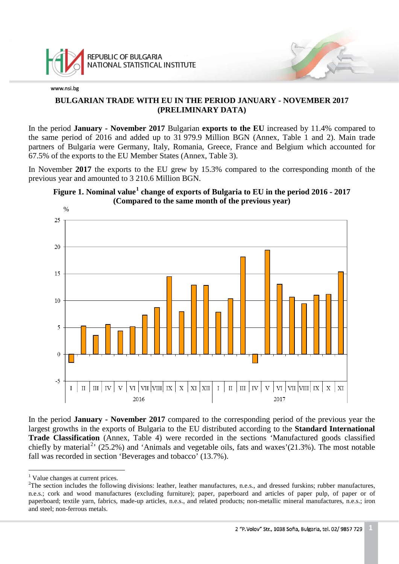

## **BULGARIAN TRADE WITH EU IN THE PERIOD JANUARY - NOVEMBER 2017 (PRELIMINARY DATA)**

In the period **January - November 2017** Bulgarian **exports to the EU** increased by 11.4% compared to the same period of 2016 and added up to 31 979.9 Million BGN (Annex, Table 1 and 2). Main trade partners of Bulgaria were Germany, Italy, Romania, Greece, France and Belgium which accounted for 67.5% of the exports to the EU Member States (Annex, Table 3).

In November **2017** the exports to the EU grew by 15.3% compared to the corresponding month of the previous year and amounted to 3 210.6 Million BGN.





In the period **January - November 2017** compared to the corresponding period of the previous year the largest growths in the exports of Bulgaria to the EU distributed according to the **Standard International Trade Classification** (Annex, Table 4) were recorded in the sections 'Manufactured goods classified chiefly by material<sup>[2](#page-0-1)</sup> (25.2%) and 'Animals and vegetable oils, fats and waxes'(21.3%). The most notable fall was recorded in section 'Beverages and tobacco' (13.7%).

 $\frac{1}{1}$ <sup>1</sup> Value changes at current prices.

<span id="page-0-2"></span><span id="page-0-1"></span><span id="page-0-0"></span> $2$ The section includes the following divisions: leather, leather manufactures, n.e.s., and dressed furskins; rubber manufactures, n.e.s.; cork and wood manufactures (excluding furniture); paper, paperboard and articles of paper pulp, of paper or of paperboard; textile yarn, fabrics, made-up articles, n.e.s., and related products; non-metallic mineral manufactures, n.e.s.; iron and steel; non-ferrous metals.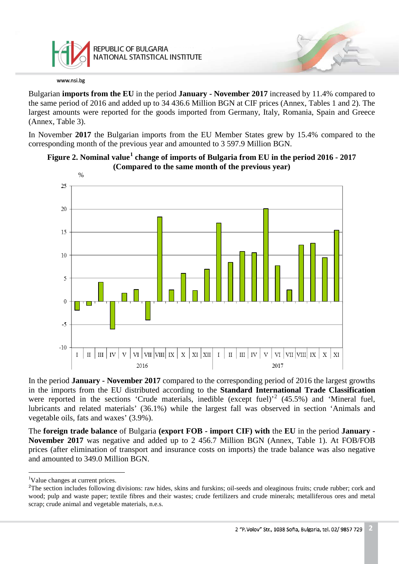

Bulgarian **imports from the EU** in the period **January - November 2017** increased by 11.4% compared to the same period of 2016 and added up to 34 436.6 Million BGN at CIF prices (Annex, Tables 1 and 2). The largest amounts were reported for the goods imported from Germany, Italy, Romania, Spain and Greece (Annex, Table 3).

In November **2017** the Bulgarian imports from the EU Member States grew by 15.4% compared to the corresponding month of the previous year and amounted to 3 597.9 Million BGN.



**Figure 2. Nominal value[1](#page-0-2) change of imports of Bulgaria from EU in the period 2016 - 2017 (Compared to the same month of the previous year)**

In the period **January - November 2017** compared to the corresponding period of 2016 the largest growths in the imports from the EU distributed according to the **Standard International Trade Classification** were reported in the sections 'Crude materials, inedible (except fuel)'<sup>[2](#page-1-0)</sup> (45.5%) and 'Mineral fuel, lubricants and related materials' (36.1%) while the largest fall was observed in section 'Animals and vegetable oils, fats and waxes' (3.9%).

The **foreign trade balance** of Bulgaria **(export FOB - import CIF) with** the **EU** in the period **January - November 2017** was negative and added up to 2 456.7 Million BGN (Annex, Table 1). At FOB/FOB prices (after elimination of transport and insurance costs on imports) the trade balance was also negative and amounted to 349.0 Million BGN.

 1 Value changes at current prices.

<span id="page-1-0"></span><sup>2</sup> The section includes following divisions: raw hides, skins and furskins; oil-seeds and oleaginous fruits; crude rubber; cork and wood; pulp and waste paper; textile fibres and their wastes; crude fertilizers and crude minerals; metalliferous ores and metal scrap; crude animal and vegetable materials, n.e.s.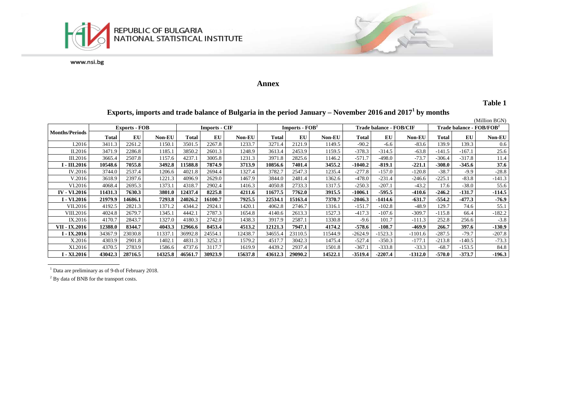

## **Annex**

**Table 1**

# **Exports, imports and trade balance of Bulgaria in the period January – November 2016 and 2017<sup>1</sup> by months**

|                       |         |                      |               |         |                      |               |                  |         |               |                         |           |               |                                      |          | (Million BGN) |
|-----------------------|---------|----------------------|---------------|---------|----------------------|---------------|------------------|---------|---------------|-------------------------|-----------|---------------|--------------------------------------|----------|---------------|
|                       |         | <b>Exports - FOB</b> |               |         | <b>Imports - CIF</b> |               | $Imports - FOB2$ |         |               | Trade balance - FOB/CIF |           |               | Trade balance - FOB/FOB <del>'</del> |          |               |
| <b>Months/Periods</b> | Total   | EU                   | <b>Non-EU</b> | Total   | EU                   | <b>Non-EU</b> | Total            | EU      | <b>Non-EU</b> | <b>Total</b>            | EU        | <b>Non-EU</b> | Total                                | EU       | <b>Non-EU</b> |
| I.2016                | 3411.3  | 2261.2               | 1150.1        | 3501.5  | 2267.8               | 1233.7        | 3271.4           | 2121.9  | 1149.5        | $-90.2$                 | $-6.6$    | $-83.6$       | 139.9                                | 139.3    | 0.6           |
| II.2016               | 3471.9  | 2286.8               | 1185.1        | 3850.2  | 2601.3               | 1248.9        | 3613.4           | 2453.9  | 1159.5        | $-378.3$                | $-314.5$  | $-63.8$       | $-141.5$                             | $-167.1$ | 25.6          |
| III.2016              | 3665.4  | 2507.8               | 1157.6        | 4237.   | 3005.8               | 1231.3        | 3971.8           | 2825.6  | 1146.2        | $-571.7$                | $-498.0$  | $-73.7$       | $-306.4$                             | $-317.8$ | 11.4          |
| I - III.2016          | 10548.6 | 7055.8               | 3492.8        | 11588.8 | 7874.9               | 3713.9        | 10856.6          | 7401.4  | 3455.2        | $-1040.2$               | $-819.1$  | $-221.1$      | $-308.0$                             | $-345.6$ | 37.6          |
| IV.2016               | 3744.0  | 2537.4               | 1206.6        | 4021.8  | 2694.4               | 1327.4        | 3782.7           | 2547.3  | 1235.4        | $-277.8$                | $-157.0$  | $-120.8$      | $-38.7$                              | $-9.9$   | $-28.8$       |
| V.2016                | 3618.9  | 2397.6               | 1221.3        | 4096.9  | 2629.0               | 1467.9        | 3844.0           | 2481.4  | 1362.6        | $-478.0$                | $-231.4$  | $-246.6$      | $-225.1$                             | $-83.8$  | $-141.3$      |
| VI.2016               | 4068.4  | 2695.3               | 1373.1        | 4318.7  | 2902.4               | 1416.3        | 4050.8           | 2733.3  | 1317.5        | $-250.3$                | $-207.1$  | $-43.2$       | 17.6                                 | $-38.0$  | 55.6          |
| <b>IV - VI.2016</b>   | 11431.3 | 7630.3               | 3801.0        | 12437.4 | 8225.8               | 4211.6        | 1677.5           | 7762.0  | 3915.5        | $-1006.1$               | $-595.5$  | $-410.6$      | $-246.2$                             | $-131.7$ | $-114.5$      |
| I - VI.2016           | 21979.9 | 14686.1              | 7293.8        | 24026.2 | 16100.7              | 7925.5        | 22534.1          | 15163.4 | 7370.7        | -2046.3                 | -1414.6   | $-631.7$      | $-554.2$                             | $-477.3$ | $-76.9$       |
| VII.2016              | 4192.5  | 2821.3               | 1371.2        | 4344.2  | 2924.1               | 1420.1        | 4062.8           | 2746.7  | 1316.1        | $-151.7$                | $-102.8$  | $-48.9$       | 129.7                                | 74.6     | 55.1          |
| VIII.2016             | 4024.8  | 2679.7               | 1345.1        | 4442.   | 2787.3               | 1654.8        | 4140.6           | 2613.3  | 1527.3        | $-417.3$                | $-107.6$  | $-309.7$      | $-115.8$                             | 66.4     | $-182.2$      |
| IX.2016               | 4170.7  | 2843.7               | 1327.0        | 4180.3  | 2742.0               | 1438.3        | 3917.9           | 2587.1  | 1330.8        | $-9.6$                  | 101.7     | $-111.3$      | 252.8                                | 256.6    | $-3.8$        |
| VII - IX.2016         | 12388.0 | 8344.7               | 4043.3        | 12966.6 | 8453.4               | 4513.2        | 12121.3          | 7947.1  | 4174.2        | $-578.6$                | $-108.7$  | $-469.9$      | 266.7                                | 397.6    | $-130.9$      |
| $I - IX.2016$         | 34367.9 | 23030.8              | 11337.        | 36992.8 | 24554.1              | 12438.7       | 34655.4          | 23110.5 | 11544.9       | $-2624.9$               | 1523.3    | $-1101.6$     | $-287.5$                             | $-79.7$  | $-207.8$      |
| X.2016                | 4303.9  | 2901.8               | 1402.         | 4831.3  | 3252.1               | 1579.2        | 4517.7           | 3042.3  | 1475.4        | $-527.4$                | $-350.3$  | $-177.1$      | $-213.8$                             | $-140.5$ | $-73.3$       |
| XI.2016               | 4370.5  | 2783.9               | 1586.6        | 4737.6  | 3117.7               | 1619.9        | 4439.2           | 2937.4  | 1501.8        | $-367.$                 | $-333.8$  | $-33.3$       | $-68.7$                              | $-153.5$ | 84.8          |
| I - XI.2016           | 43042.3 | 28716.5              | 14325.8       | 46561.7 | 30923.9              | 15637.8       | 43612.3          | 29090.2 | 14522.1       | $-3519.4$               | $-2207.4$ | -1312.0       | $-570.0$                             | $-373.7$ | $-196.3$      |

<sup>1</sup> Data are preliminary as of 9-th of February 2018.

<sup>2</sup> By data of BNB for the transport costs.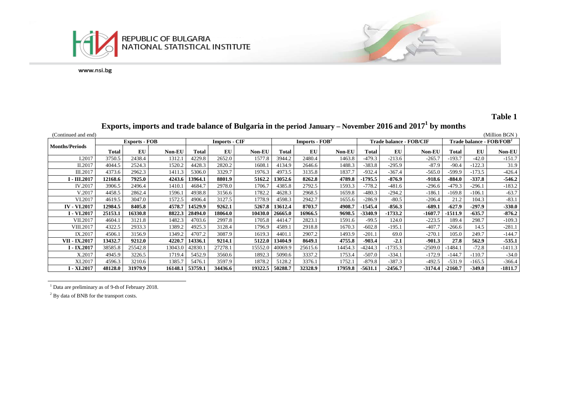

# **Table 1**

| (Continued and end)   |         |                      |               |                 |                      |         |                 |                  |               |           |                         |           |           |                                      | (Million BGN) |  |
|-----------------------|---------|----------------------|---------------|-----------------|----------------------|---------|-----------------|------------------|---------------|-----------|-------------------------|-----------|-----------|--------------------------------------|---------------|--|
|                       |         | <b>Exports - FOB</b> |               |                 | <b>Imports - CIF</b> |         |                 | Imports - $FOB2$ |               |           | Trade balance - FOB/CIF |           |           | Trade balance - FOB/FOB <sup>2</sup> |               |  |
| <b>Months/Periods</b> | Total   | EU                   | <b>Non-EU</b> | Total           | EU                   | Non-EU  | Total           | EU               | <b>Non-EU</b> | Total     | EU                      | Non-EU    | Total     | EU                                   | <b>Non-EU</b> |  |
| I.2017                | 3750.5  | 2438.4               | 1312.         | 4229.8          | 2652.0               | 1577.8  | 3944.2          | 2480.4           | 1463.8        | $-479.3$  | $-213.6$                | $-265.7$  | $-193.7$  | $-42.0$                              | $-151.7$      |  |
| II.2017               | 4044.5  | 2524.3               | 1520.2        | 4428.3          | 2820.2               | 1608.1  | 4134.9          | 2646.6           | 1488.3        | $-383.8$  | $-295.9$                | $-87.9$   | $-90.4$   | $-122.3$                             | 31.9          |  |
| III.2017              | 4373.6  | 2962.3               | 1411.3        | 5306.0          | 3329.7               | 1976.3  | 4973.5          | 3135.8           | 1837.7        | $-932.4$  | $-367.4$                | $-565.0$  | $-599.9$  | $-173.5$                             | $-426.4$      |  |
| I - III.2017          | 12168.6 | 7925.0               | 4243.6        | 13964.1         | 8801.9               | 5162.2  | 13052.6         | 8262.8           | 4789.8        | -1795.5   | $-876.9$                | $-918.6$  | $-884.0$  | $-337.8$                             | -546.2        |  |
| IV.2017               | 3906.5  | 2496.4               | 1410.         | 4684.7          | 2978.0               | 1706.7  | 4385.8          | 2792.5           | 1593.3        | $-778.2$  | $-481.6$                | $-296.6$  | $-479.3$  | $-296.1$                             | $-183.2$      |  |
| V.2017                | 4458.5  | 2862.4               | 1596.1        | 4938.8          | 3156.6               | 1782.2  | 4628.3          | 2968.5           | 1659.8        | $-480.3$  | $-294.2$                | $-186.1$  | $-169.8$  | $-106.1$                             | $-63.7$       |  |
| VI.2017               | 4619.5  | 3047.0               | 1572.5        | 4906.4          | 3127.5               | 1778.9  | 4598.3          | 2942.7           | 1655.6        | $-286.9$  | $-80.5$                 | $-206.4$  | 21.2      | 104.3                                | $-83.1$       |  |
| <b>IV - VI.2017</b>   | 12984.5 | 8405.8               | 4578.7        | 14529.9         | 9262.1               | 5267.8  | 13612.4         | 8703.7           | 4908.7        | $-1545.4$ | $-856.3$                | $-689.1$  | $-627.9$  | $-297.9$                             | $-330.0$      |  |
| <b>I</b> - VI.2017    | 25153.1 | 16330.8              | 8822.3        | 28494.0         | 18064.0              | 10430.0 | 26665.0         | 16966.5          | 9698.5        | -3340.9   | -1733.2                 | $-1607.7$ | -1511.9   | $-635.7$                             | $-876.2$      |  |
| VII.2017              | 4604.1  | 3121.8               | 1482.3        | 4703.6          | 2997.8               | 1705.8  | 4414.7          | 2823.1           | 1591.6        | $-99.5$   | 124.0                   | $-223.5$  | 189.4     | 298.7                                | $-109.3$      |  |
| VIII.2017             | 4322.5  | 2933.3               | 1389.2        | 4925.3          | 3128.4               | 1796.9  | 4589.1          | 2918.8           | 1670.3        | $-602.8$  | $-195.1$                | $-407.7$  | $-266.6$  | 14.5                                 | $-281.1$      |  |
| IX.2017               | 4506.1  | 3156.9               | 1349.2        | 4707.2          | 3087.9               | 1619.3  | 4401.1          | 2907.2           | 1493.9        | $-201.1$  | 69.0                    | $-270.1$  | 105.0     | 249.7                                | $-144.7$      |  |
| VII - IX.2017         | 13432.7 | 9212.0               | 4220.7        | 14336.1         | 9214.1               | 5122.0  | 13404.9         | 8649.1           | 4755.8        | $-903.4$  | $-2.1$                  | $-901.3$  | 27.8      | 562.9                                | $-535.1$      |  |
| I - IX.2017           | 38585.8 | 25542.8              | 13043.0       | 42830.1         | 27278.1              | 15552.0 | 40069.9         | 25615.6          | 14454.3       | $-4244.3$ | $-1735.3$               | $-2509.0$ | 1484.1    | $-72.8$                              | $-1411.3$     |  |
| X.2017                | 4945.9  | 3226.5               | 1719.4        | 5452.9          | 3560.6               | 1892.3  | 5090.6          | 3337.2           | 1753.4        | $-507.0$  | $-334.1$                | $-172.9$  | $-144.7$  | $-110.7$                             | $-34.0$       |  |
| XI.2017               | 4596.3  | 3210.6               | 1385.7        | 5476.1          | 3597.9               | 1878.2  | 5128.2          | 3376.1           | 1752.1        | $-879.8$  | $-387.3$                | $-492.5$  | $-531.9$  | $-165.5$                             | $-366.4$      |  |
| I - XI.2017           | 48128.0 | 31979.9              |               | 16148.1 53759.1 | 34436.6              |         | 19322.5 50288.7 | 32328.9          | 17959.8       | $-5631.1$ | $-2456.7$               | -3174.4   | $-2160.7$ | $-349.0$                             | $-1811.7$     |  |

# **Exports, imports and trade balance of Bulgaria in the period January – November 2016 and 20171 by months**

<sup>1</sup> Data are preliminary as of 9-th of February 2018.

<sup>2</sup> By data of BNB for the transport costs.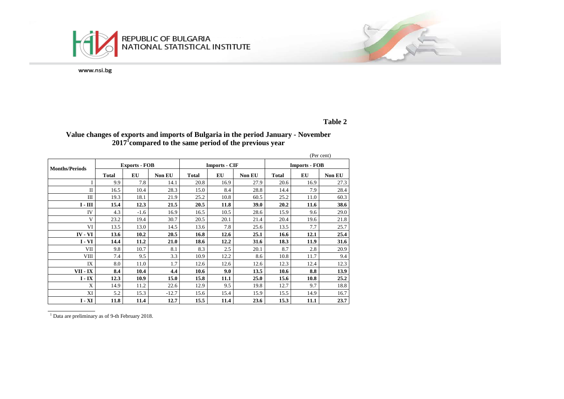

# **Table 2**

### **Value changes of exports and imports of Bulgaria in the period January - November 20171 compared to the same period of the previous year**

|                       |              |                      |         |              |                      |               |                      |      | (Per cent)    |  |
|-----------------------|--------------|----------------------|---------|--------------|----------------------|---------------|----------------------|------|---------------|--|
| <b>Months/Periods</b> |              | <b>Exports - FOB</b> |         |              | <b>Imports - CIF</b> |               | <b>Imports - FOB</b> |      |               |  |
|                       | <b>Total</b> | EU                   | Non EU  | <b>Total</b> | EU                   | <b>Non EU</b> | <b>Total</b>         | EU   | <b>Non EU</b> |  |
|                       | 9.9          | 7.8                  | 14.1    | 20.8         | 16.9                 | 27.9          | 20.6                 | 16.9 | 27.3          |  |
| $_{\rm II}$           | 16.5         | 10.4                 | 28.3    | 15.0         | 8.4                  | 28.8          | 14.4                 | 7.9  | 28.4          |  |
| III                   | 19.3         | 18.1                 | 21.9    | 25.2         | 10.8                 | 60.5          | 25.2                 | 11.0 | 60.3          |  |
| $I - III$             | 15.4         | 12.3                 | 21.5    | 20.5         | 11.8                 | 39.0          | 20.2                 | 11.6 | 38.6          |  |
| IV                    | 4.3          | $-1.6$               | 16.9    | 16.5         | 10.5                 | 28.6          | 15.9                 | 9.6  | 29.0          |  |
| V                     | 23.2         | 19.4                 | 30.7    | 20.5         | 20.1                 | 21.4          | 20.4                 | 19.6 | 21.8          |  |
| VI                    | 13.5         | 13.0                 | 14.5    | 13.6         | 7.8                  | 25.6          | 13.5                 | 7.7  | 25.7          |  |
| $IV - VI$             | 13.6         | 10.2                 | 20.5    | 16.8         | 12.6                 | 25.1          | 16.6                 | 12.1 | 25.4          |  |
| $I - VI$              | 14.4         | 11.2                 | 21.0    | 18.6         | 12.2                 | 31.6          | 18.3                 | 11.9 | 31.6          |  |
| VII                   | 9.8          | 10.7                 | 8.1     | 8.3          | 2.5                  | 20.1          | 8.7                  | 2.8  | 20.9          |  |
| <b>VIII</b>           | 7.4          | 9.5                  | 3.3     | 10.9         | 12.2                 | 8.6           | 10.8                 | 11.7 | 9.4           |  |
| IX                    | 8.0          | 11.0                 | 1.7     | 12.6         | 12.6                 | 12.6          | 12.3                 | 12.4 | 12.3          |  |
| VII - IX              | 8.4          | 10.4                 | 4.4     | 10.6         | 9.0                  | 13.5          | 10.6                 | 8.8  | 13.9          |  |
| $I - IX$              | 12.3         | 10.9                 | 15.0    | 15.8         | 11.1                 | 25.0          | 15.6                 | 10.8 | 25.2          |  |
| X                     | 14.9         | 11.2                 | 22.6    | 12.9         | 9.5                  | 19.8          | 12.7                 | 9.7  | 18.8          |  |
| XI                    | 5.2          | 15.3                 | $-12.7$ | 15.6         | 15.4                 | 15.9          | 15.5                 | 14.9 | 16.7          |  |
| $I - XI$              | 11.8         | 11.4                 | 12.7    | 15.5         | 11.4                 | 23.6          | 15.3                 | 11.1 | 23.7          |  |

 $\frac{1}{1}$  Data are preliminary as of 9-th February 2018.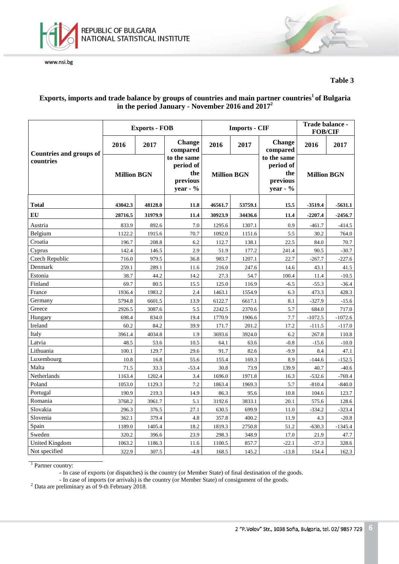

## **Table 3**

# **Exports, imports and trade balance by groups of countries and main partner countries1 of Bulgaria in the period January - November 2016 and 2017<sup>2</sup>**

|                                |                    | <b>Exports - FOB</b> |                                                           |                    | <b>Imports - CIF</b> |                                                         | Trade balance -<br><b>FOB/CIF</b> |           |  |
|--------------------------------|--------------------|----------------------|-----------------------------------------------------------|--------------------|----------------------|---------------------------------------------------------|-----------------------------------|-----------|--|
| <b>Countries and groups of</b> | 2016               | 2017                 | <b>Change</b><br>compared                                 | 2016               | 2017                 | <b>Change</b><br>compared                               | 2016                              | 2017      |  |
| countries                      | <b>Million BGN</b> |                      | to the same<br>period of<br>the<br>previous<br>year - $%$ | <b>Million BGN</b> |                      | to the same<br>period of<br>the<br>previous<br>year - % | <b>Million BGN</b>                |           |  |
| <b>Total</b>                   | 43042.3            | 48128.0              | 11.8                                                      | 46561.7            | 53759.1              | 15.5                                                    | -3519.4                           | $-5631.1$ |  |
| EU                             | 28716.5            | 31979.9              | 11.4                                                      | 30923.9            | 34436.6              | 11.4                                                    | $-2207.4$                         | $-2456.7$ |  |
| Austria                        | 833.9              | 892.6                | 7.0                                                       | 1295.6             | 1307.1               | 0.9                                                     | $-461.7$                          | $-414.5$  |  |
| Belgium                        | 1122.2             | 1915.6               | 70.7                                                      | 1092.0             | 1151.6               | 5.5                                                     | 30.2                              | 764.0     |  |
| Croatia                        | 196.7              | 208.8                | 6.2                                                       | 112.7              | 138.1                | 22.5                                                    | 84.0                              | 70.7      |  |
| Cyprus                         | 142.4              | 146.5                | 2.9                                                       | 51.9               | 177.2                | 241.4                                                   | 90.5                              | $-30.7$   |  |
| Czech Republic                 | 716.0              | 979.5                | 36.8                                                      | 983.7              | 1207.1               | 22.7                                                    | $-267.7$                          | $-227.6$  |  |
| Denmark                        | 259.1              | 289.1                | 11.6                                                      | 216.0              | 247.6                | 14.6                                                    | 43.1                              | 41.5      |  |
| Estonia                        | 38.7               | 44.2                 | 14.2                                                      | 27.3               | 54.7                 | 100.4                                                   | 11.4                              | $-10.5$   |  |
| Finland                        | 69.7               | 80.5                 | 15.5                                                      | 125.0              | 116.9                | $-6.5$                                                  | $-55.3$                           | $-36.4$   |  |
| France                         | 1936.4             | 1983.2               | 2.4                                                       | 1463.1             | 1554.9               | 6.3                                                     | 473.3                             | 428.3     |  |
| Germany                        | 5794.8             | 6601.5               | 13.9                                                      | 6122.7             | 6617.1               | 8.1                                                     | $-327.9$                          | $-15.6$   |  |
| Greece                         | 2926.5             | 3087.6               | 5.5                                                       | 2242.5             | 2370.6               | 5.7                                                     | 684.0                             | 717.0     |  |
| Hungary                        | 698.4              | 834.0                | 19.4                                                      | 1770.9             | 1906.6               | 7.7                                                     | $-1072.5$                         | $-1072.6$ |  |
| Ireland                        | 60.2               | 84.2                 | 39.9                                                      | 171.7              | 201.2                | 17.2                                                    | $-111.5$                          | $-117.0$  |  |
| Italy                          | 3961.4             | 4034.8               | 1.9                                                       | 3693.6             | 3924.0               | 6.2                                                     | 267.8                             | 110.8     |  |
| Latvia                         | 48.5               | 53.6                 | 10.5                                                      | 64.1               | 63.6                 | $-0.8$                                                  | $-15.6$                           | $-10.0$   |  |
| Lithuania                      | 100.1              | 129.7                | 29.6                                                      | 91.7               | 82.6                 | $-9.9$                                                  | 8.4                               | 47.1      |  |
| Luxembourg                     | 10.8               | 16.8                 | 55.6                                                      | 155.4              | 169.3                | 8.9                                                     | $-144.6$                          | $-152.5$  |  |
| Malta                          | 71.5               | 33.3                 | $-53.4$                                                   | 30.8               | 73.9                 | 139.9                                                   | 40.7                              | $-40.6$   |  |
| Netherlands                    | 1163.4             | 1202.4               | 3.4                                                       | 1696.0             | 1971.8               | 16.3                                                    | $-532.6$                          | $-769.4$  |  |
| Poland                         | 1053.0             | 1129.3               | 7.2                                                       | 1863.4             | 1969.3               | 5.7                                                     | $-810.4$                          | $-840.0$  |  |
| Portugal                       | 190.9              | 219.3                | 14.9                                                      | 86.3               | 95.6                 | 10.8                                                    | 104.6                             | 123.7     |  |
| Romania                        | 3768.2             | 3961.7               | 5.1                                                       | 3192.6             | 3833.1               | 20.1                                                    | 575.6                             | 128.6     |  |
| Slovakia                       | 296.3              | 376.5                | 27.1                                                      | 630.5              | 699.9                | 11.0                                                    | $-334.2$                          | $-323.4$  |  |
| Slovenia                       | 362.1              | 379.4                | 4.8                                                       | 357.8              | 400.2                | 11.9                                                    | 4.3                               | $-20.8$   |  |
| Spain                          | 1189.0             | 1405.4               | 18.2                                                      | 1819.3             | 2750.8               | 51.2                                                    | $-630.3$                          | $-1345.4$ |  |
| Sweden                         | 320.2              | 396.6                | 23.9                                                      | 298.3              | 348.9                | 17.0                                                    | 21.9                              | 47.7      |  |
| <b>United Kingdom</b>          | 1063.2             | 1186.3               | 11.6                                                      | 1100.5             | 857.7                | $-22.1$                                                 | $-37.3$                           | 328.6     |  |
| Not specified                  | 322.9              | 307.5                | $-4.8$                                                    | 168.5              | 145.2                | $-13.8$                                                 | 154.4                             | 162.3     |  |

<sup>1</sup> Partner country:

- In case of exports (or dispatches) is the country (or Member State) of final destination of the goods.

- In case of imports (or arrivals) is the country (or Member State) of consignment of the goods. <sup>2</sup> Data are preliminary as of 9-th February 2018.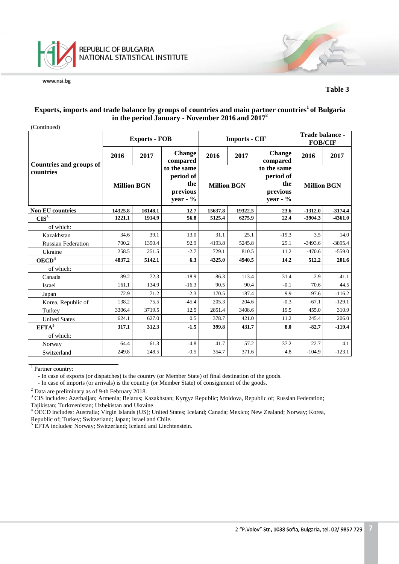

#### **Table 3**

## **Exports, imports and trade balance by groups of countries and main partner countries1 of Bulgaria in the period January - November 2016 and 2017<sup>2</sup>**

| (Continued)                                 |                    |                      |                                                            |                    |                      |                                                            |                                   |           |  |
|---------------------------------------------|--------------------|----------------------|------------------------------------------------------------|--------------------|----------------------|------------------------------------------------------------|-----------------------------------|-----------|--|
|                                             |                    | <b>Exports - FOB</b> |                                                            |                    | <b>Imports - CIF</b> |                                                            | Trade balance -<br><b>FOB/CIF</b> |           |  |
|                                             | 2016               | 2017                 | <b>Change</b><br>compared                                  | 2016               | 2017                 | <b>Change</b><br>compared                                  | 2016                              | 2017      |  |
| <b>Countries and groups of</b><br>countries | <b>Million BGN</b> |                      | to the same<br>period of<br>the<br>previous<br>year - $\%$ | <b>Million BGN</b> |                      | to the same<br>period of<br>the<br>previous<br>year - $\%$ | <b>Million BGN</b>                |           |  |
| <b>Non EU countries</b>                     | 14325.8            | 16148.1              | 12.7                                                       | 15637.8            | 19322.5              | 23.6                                                       | $-1312.0$                         | $-3174.4$ |  |
| CIS <sup>3</sup>                            | 1221.1             | 1914.9               | 56.8                                                       | 5125.4             | 6275.9               | 22.4                                                       | $-3904.3$                         | $-4361.0$ |  |
| of which:                                   |                    |                      |                                                            |                    |                      |                                                            |                                   |           |  |
| Kazakhstan                                  | 34.6               | 39.1                 | 13.0                                                       | 31.1               | 25.1                 | $-19.3$                                                    | 3.5                               | 14.0      |  |
| <b>Russian Federation</b>                   | 700.2              | 1350.4               | 92.9                                                       | 4193.8             | 5245.8               | 25.1                                                       | $-3493.6$                         | $-3895.4$ |  |
| Ukraine                                     | 258.5              | 251.5                | $-2.7$                                                     | 729.1              | 810.5                | 11.2                                                       | $-470.6$                          | $-559.0$  |  |
| OECD <sup>4</sup>                           | 4837.2             | 5142.1               | 6.3                                                        | 4325.0             | 4940.5               | 14.2                                                       | 512.2                             | 201.6     |  |
| of which:                                   |                    |                      |                                                            |                    |                      |                                                            |                                   |           |  |
| Canada                                      | 89.2               | 72.3                 | $-18.9$                                                    | 86.3               | 113.4                | 31.4                                                       | 2.9                               | $-41.1$   |  |
| Israel                                      | 161.1              | 134.9                | $-16.3$                                                    | 90.5               | 90.4                 | $-0.1$                                                     | 70.6                              | 44.5      |  |
| Japan                                       | 72.9               | 71.2                 | $-2.3$                                                     | 170.5              | 187.4                | 9.9                                                        | $-97.6$                           | $-116.2$  |  |
| Korea, Republic of                          | 138.2              | 75.5                 | $-45.4$                                                    | 205.3              | 204.6                | $-0.3$                                                     | $-67.1$                           | $-129.1$  |  |
| Turkey                                      | 3306.4             | 3719.5               | 12.5                                                       | 2851.4             | 3408.6               | 19.5                                                       | 455.0                             | 310.9     |  |
| <b>United States</b>                        | 624.1              | 627.0                | 0.5                                                        | 378.7              | 421.0                | 11.2                                                       | 245.4                             | 206.0     |  |
| $EFTA^5$                                    | 317.1              | 312.3                | $-1.5$                                                     | 399.8              | 431.7                | 8.0                                                        | $-82.7$                           | $-119.4$  |  |
| of which:                                   |                    |                      |                                                            |                    |                      |                                                            |                                   |           |  |
| Norway                                      | 64.4               | 61.3                 | $-4.8$                                                     | 41.7               | 57.2                 | 37.2                                                       | 22.7                              | 4.1       |  |
| Switzerland                                 | 249.8              | 248.5                | $-0.5$                                                     | 354.7              | 371.6                | 4.8                                                        | $-104.9$                          | $-123.1$  |  |

 $1$  Partner country:

- In case of exports (or dispatches) is the country (or Member State) of final destination of the goods.

- In case of imports (or arrivals) is the country (or Member State) of consignment of the goods.

<sup>2</sup> Data are preliminary as of 9-th February 2018.<br><sup>3</sup> CIS includes: Azerbaijan; Armenia; Belarus; Kazakhstan; Kyrgyz Republic; Moldova, Republic of; Russian Federation; Tajikistan; Turkmenistan; Uzbekistan and Ukraine.

<sup>4</sup> OECD includes: Australia; Virgin Islands (US); United States; Iceland; Canada; Mexico; New Zealand; Norway; Korea, Republic of; Turkey; Switzerland; Japan; Israel and Chile.

<sup>5</sup> EFTA includes: Norway; Switzerland; Iceland and Liechtenstein.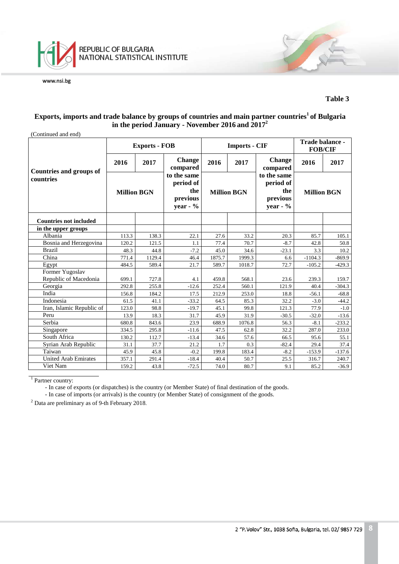

#### **Table 3**

## **Exports, imports and trade balance by groups of countries and main partner countries1 of Bulgaria in the period January - November 2016 and 2017<sup>2</sup>**

| (Continued and end)                      |                    |                      |                                                            |                      |        |                                                            |                                   |          |
|------------------------------------------|--------------------|----------------------|------------------------------------------------------------|----------------------|--------|------------------------------------------------------------|-----------------------------------|----------|
|                                          |                    | <b>Exports - FOB</b> |                                                            | <b>Imports - CIF</b> |        |                                                            | Trade balance -<br><b>FOB/CIF</b> |          |
| <b>Countries and groups of</b>           | 2016               | 2017                 | <b>Change</b><br>compared                                  | 2016                 | 2017   | <b>Change</b><br>compared                                  | 2016                              | 2017     |
| countries                                | <b>Million BGN</b> |                      | to the same<br>period of<br>the<br>previous<br>year - $\%$ | <b>Million BGN</b>   |        | to the same<br>period of<br>the<br>previous<br>year - $\%$ | <b>Million BGN</b>                |          |
| <b>Countries not included</b>            |                    |                      |                                                            |                      |        |                                                            |                                   |          |
| in the upper groups                      |                    |                      |                                                            |                      |        |                                                            |                                   |          |
| Albania                                  | 113.3              | 138.3                | 22.1                                                       | 27.6                 | 33.2   | 20.3                                                       | 85.7                              | 105.1    |
| Bosnia and Herzegovina                   | 120.2              | 121.5                | 1.1                                                        | 77.4                 | 70.7   | $-8.7$                                                     | 42.8                              | 50.8     |
| <b>Brazil</b>                            | 48.3               | 44.8                 | $-7.2$                                                     | 45.0                 | 34.6   | $-23.1$                                                    | 3.3                               | 10.2     |
| China                                    | 771.4              | 1129.4               | 46.4                                                       | 1875.7               | 1999.3 | 6.6                                                        | $-1104.3$                         | $-869.9$ |
| Egypt                                    | 484.5              | 589.4                | 21.7                                                       | 589.7                | 1018.7 | 72.7                                                       | $-105.2$                          | $-429.3$ |
| Former Yugoslav<br>Republic of Macedonia | 699.1              | 727.8                | 4.1                                                        | 459.8                | 568.1  | 23.6                                                       | 239.3                             | 159.7    |
| Georgia                                  | 292.8              | 255.8                | $-12.6$                                                    | 252.4                | 560.1  | 121.9                                                      | 40.4                              | $-304.3$ |
| India                                    | 156.8              | 184.2                | 17.5                                                       | 212.9                | 253.0  | 18.8                                                       | $-56.1$                           | $-68.8$  |
| Indonesia                                | 61.5               | 41.1                 | $-33.2$                                                    | 64.5                 | 85.3   | 32.2                                                       | $-3.0$                            | $-44.2$  |
| Iran, Islamic Republic of                | 123.0              | 98.8                 | $-19.7$                                                    | 45.1                 | 99.8   | 121.3                                                      | 77.9                              | $-1.0$   |
| Peru                                     | 13.9               | 18.3                 | 31.7                                                       | 45.9                 | 31.9   | $-30.5$                                                    | $-32.0$                           | $-13.6$  |
| Serbia                                   | 680.8              | 843.6                | 23.9                                                       | 688.9                | 1076.8 | 56.3                                                       | $-8.1$                            | $-233.2$ |
| Singapore                                | 334.5              | 295.8                | $-11.6$                                                    | 47.5                 | 62.8   | 32.2                                                       | 287.0                             | 233.0    |
| South Africa                             | 130.2              | 112.7                | $-13.4$                                                    | 34.6                 | 57.6   | 66.5                                                       | 95.6                              | 55.1     |
| Syrian Arab Republic                     | 31.1               | 37.7                 | 21.2                                                       | 1.7                  | 0.3    | $-82.4$                                                    | 29.4                              | 37.4     |
| Taiwan                                   | 45.9               | 45.8                 | $-0.2$                                                     | 199.8                | 183.4  | $-8.2$                                                     | $-153.9$                          | $-137.6$ |
| <b>United Arab Emirates</b>              | 357.1              | 291.4                | $-18.4$                                                    | 40.4                 | 50.7   | 25.5                                                       | 316.7                             | 240.7    |
| Viet Nam                                 | 159.2              | 43.8                 | $-72.5$                                                    | 74.0                 | 80.7   | 9.1                                                        | 85.2                              | $-36.9$  |

<sup>1</sup> Partner country:

- In case of exports (or dispatches) is the country (or Member State) of final destination of the goods.

- In case of imports (or arrivals) is the country (or Member State) of consignment of the goods.

<sup>2</sup> Data are preliminary as of 9-th February 2018.